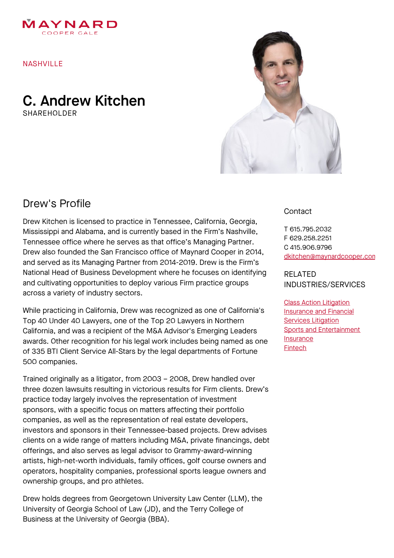

NASHVILLE

## C. Andrew Kitchen SHARFHOLDER



# Drew's Profile

Drew Kitchen is licensed to practice in Tennessee, California, Georgia, Mississippi and Alabama, and is currently based in the Firm's Nashville, Tennessee office where he serves as that office's Managing Partner. Drew also founded the San Francisco office of Maynard Cooper in 2014, and served as its Managing Partner from 2014-2019. Drew is the Firm's National Head of Business Development where he focuses on identifying and cultivating opportunities to deploy various Firm practice groups across a variety of industry sectors.

While practicing in California, Drew was recognized as one of California's Top 40 Under 40 Lawyers, one of the Top 20 Lawyers in Northern California, and was a recipient of the M&A Advisor's Emerging Leaders awards. Other recognition for his legal work includes being named as one of 335 BTI Client Service All-Stars by the legal departments of Fortune 500 companies.

Trained originally as a litigator, from 2003 – 2008, Drew handled over three dozen lawsuits resulting in victorious results for Firm clients. Drew's practice today largely involves the representation of investment sponsors, with a specific focus on matters affecting their portfolio companies, as well as the representation of real estate developers, investors and sponsors in their Tennessee-based projects. Drew advises clients on a wide range of matters including M&A, private financings, debt offerings, and also serves as legal advisor to Grammy-award-winning artists, high-net-worth individuals, family offices, golf course owners and operators, hospitality companies, professional sports league owners and ownership groups, and pro athletes.

Drew holds degrees from Georgetown University Law Center (LLM), the University of Georgia School of Law (JD), and the Terry College of Business at the University of Georgia (BBA).

#### **Contact**

T 615.795.2032 F 629.258.2251 C 415.906.9796 [dkitchen@maynardcooper.com](file:///home/maynardcooper/storage/runtime/temp/enupalsnapshottemp/dkitchen@maynardcooper.com)

RELATED INDUSTRIES/SERVICES

Class Action [Litigation](https://www.maynardcooper.com/services/class-action-litigation) [Insurance](https://www.maynardcooper.com/services/insurance-and-financial-services-litigation) and Financial **Services Litigation** Sports and [Entertainment](https://www.maynardcooper.com/services/sports-and-entertainment) **[Insurance](https://www.maynardcooper.com/services/insurance)** [Fintech](https://www.maynardcooper.com/services/fintech)